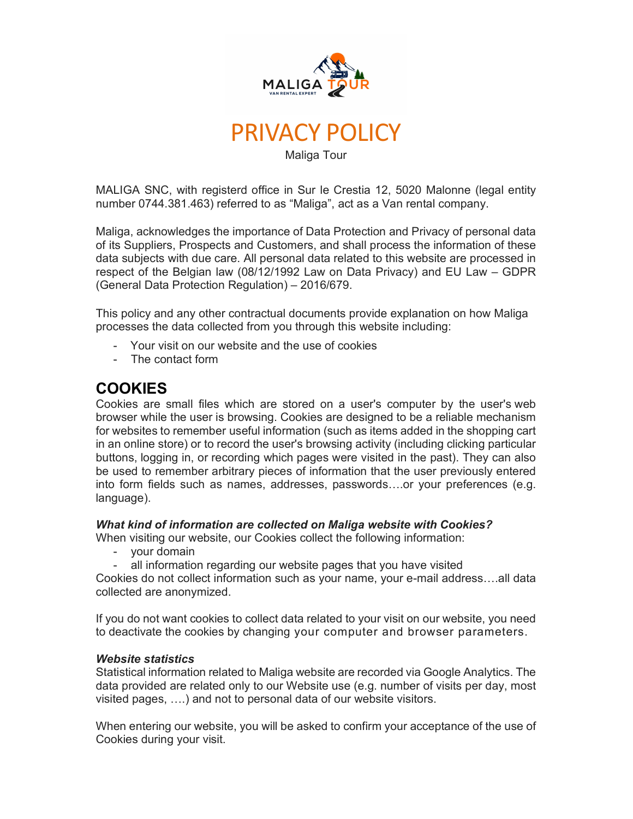



Maliga Tour

MALIGA SNC, with registerd office in Sur le Crestia 12, 5020 Malonne (legal entity number 0744.381.463) referred to as "Maliga", act as a Van rental company.

Maliga, acknowledges the importance of Data Protection and Privacy of personal data of its Suppliers, Prospects and Customers, and shall process the information of these data subjects with due care. All personal data related to this website are processed in respect of the Belgian law (08/12/1992 Law on Data Privacy) and EU Law – GDPR (General Data Protection Regulation) – 2016/679.

This policy and any other contractual documents provide explanation on how Maliga processes the data collected from you through this website including:

- Your visit on our website and the use of cookies
- The contact form

# COOKIES

Cookies are small files which are stored on a user's computer by the user's web browser while the user is browsing. Cookies are designed to be a reliable mechanism for websites to remember useful information (such as items added in the shopping cart in an online store) or to record the user's browsing activity (including clicking particular buttons, logging in, or recording which pages were visited in the past). They can also be used to remember arbitrary pieces of information that the user previously entered into form fields such as names, addresses, passwords….or your preferences (e.g. language).

## What kind of information are collected on Maliga website with Cookies?

When visiting our website, our Cookies collect the following information:

- your domain
- all information regarding our website pages that you have visited

Cookies do not collect information such as your name, your e-mail address….all data collected are anonymized.

If you do not want cookies to collect data related to your visit on our website, you need to deactivate the cookies by changing your computer and browser parameters.

#### Website statistics

Statistical information related to Maliga website are recorded via Google Analytics. The data provided are related only to our Website use (e.g. number of visits per day, most visited pages, ….) and not to personal data of our website visitors.

When entering our website, you will be asked to confirm your acceptance of the use of Cookies during your visit.